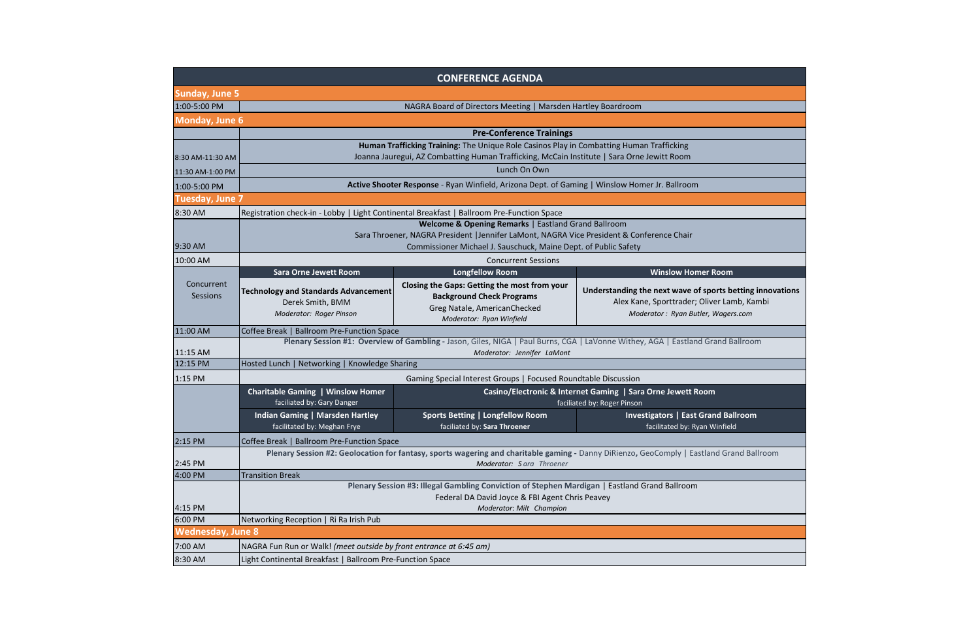|                          |                                                                                                                                                                              | <b>CONFERENCE AGENDA</b>                                                                                                                     |                                                                                                                                    |  |  |
|--------------------------|------------------------------------------------------------------------------------------------------------------------------------------------------------------------------|----------------------------------------------------------------------------------------------------------------------------------------------|------------------------------------------------------------------------------------------------------------------------------------|--|--|
| <b>Sunday, June 5</b>    |                                                                                                                                                                              |                                                                                                                                              |                                                                                                                                    |  |  |
| 1:00-5:00 PM             | NAGRA Board of Directors Meeting   Marsden Hartley Boardroom                                                                                                                 |                                                                                                                                              |                                                                                                                                    |  |  |
| Monday, June 6           |                                                                                                                                                                              |                                                                                                                                              |                                                                                                                                    |  |  |
|                          | <b>Pre-Conference Trainings</b>                                                                                                                                              |                                                                                                                                              |                                                                                                                                    |  |  |
|                          | Human Trafficking Training: The Unique Role Casinos Play in Combatting Human Trafficking                                                                                     |                                                                                                                                              |                                                                                                                                    |  |  |
| 8:30 AM-11:30 AM         |                                                                                                                                                                              | Joanna Jauregui, AZ Combatting Human Trafficking, McCain Institute   Sara Orne Jewitt Room                                                   |                                                                                                                                    |  |  |
| 11:30 AM-1:00 PM         | Lunch On Own                                                                                                                                                                 |                                                                                                                                              |                                                                                                                                    |  |  |
| 1:00-5:00 PM             | Active Shooter Response - Ryan Winfield, Arizona Dept. of Gaming   Winslow Homer Jr. Ballroom                                                                                |                                                                                                                                              |                                                                                                                                    |  |  |
| <b>Tuesday, June 7</b>   |                                                                                                                                                                              |                                                                                                                                              |                                                                                                                                    |  |  |
| 8:30 AM                  | Registration check-in - Lobby   Light Continental Breakfast   Ballroom Pre-Function Space                                                                                    |                                                                                                                                              |                                                                                                                                    |  |  |
|                          | Welcome & Opening Remarks   Eastland Grand Ballroom                                                                                                                          |                                                                                                                                              |                                                                                                                                    |  |  |
|                          | Sara Throener, NAGRA President   Jennifer LaMont, NAGRA Vice President & Conference Chair                                                                                    |                                                                                                                                              |                                                                                                                                    |  |  |
| 9:30 AM                  | Commissioner Michael J. Sauschuck, Maine Dept. of Public Safety                                                                                                              |                                                                                                                                              |                                                                                                                                    |  |  |
| 10:00 AM                 |                                                                                                                                                                              | <b>Concurrent Sessions</b>                                                                                                                   |                                                                                                                                    |  |  |
|                          | <b>Sara Orne Jewett Room</b>                                                                                                                                                 | <b>Longfellow Room</b>                                                                                                                       | <b>Winslow Homer Room</b>                                                                                                          |  |  |
| Concurrent<br>Sessions   | <b>Technology and Standards Advancement</b><br>Derek Smith, BMM<br>Moderator: Roger Pinson                                                                                   | Closing the Gaps: Getting the most from your<br><b>Background Check Programs</b><br>Greg Natale, AmericanChecked<br>Moderator: Ryan Winfield | Understanding the next wave of sports betting ir<br>Alex Kane, Sporttrader; Oliver Lamb, Kam<br>Moderator: Ryan Butler, Wagers.com |  |  |
| 11:00 AM                 | Coffee Break   Ballroom Pre-Function Space                                                                                                                                   |                                                                                                                                              |                                                                                                                                    |  |  |
|                          | Plenary Session #1: Overview of Gambling - Jason, Giles, NIGA   Paul Burns, CGA   LaVonne Withey, AGA   Eastland Grand Ballroom                                              |                                                                                                                                              |                                                                                                                                    |  |  |
| 11:15 AM<br>12:15 PM     | Moderator: Jennifer LaMont                                                                                                                                                   |                                                                                                                                              |                                                                                                                                    |  |  |
|                          | Hosted Lunch   Networking   Knowledge Sharing                                                                                                                                |                                                                                                                                              |                                                                                                                                    |  |  |
| 1:15 PM                  | Gaming Special Interest Groups   Focused Roundtable Discussion                                                                                                               |                                                                                                                                              |                                                                                                                                    |  |  |
|                          | <b>Charitable Gaming   Winslow Homer</b><br>Casino/Electronic & Internet Gaming   Sara Orne Jewett Room<br>faciliated by: Gary Danger<br>faciliated by: Roger Pinson         |                                                                                                                                              |                                                                                                                                    |  |  |
|                          | <b>Indian Gaming   Marsden Hartley</b><br>facilitated by: Meghan Frye                                                                                                        | <b>Sports Betting   Longfellow Room</b><br>faciliated by: Sara Throener                                                                      | <b>Investigators   East Grand Ballroom</b><br>facilitated by: Ryan Winfield                                                        |  |  |
| $2:15$ PM                | Coffee Break   Ballroom Pre-Function Space                                                                                                                                   |                                                                                                                                              |                                                                                                                                    |  |  |
| 2:45 PM                  | Plenary Session #2: Geolocation for fantasy, sports wagering and charitable gaming - Danny DiRienzo, GeoComply   Eastland Grand Balli<br>Moderator: Sara Throener            |                                                                                                                                              |                                                                                                                                    |  |  |
| 4:00 PM                  | <b>Transition Break</b>                                                                                                                                                      |                                                                                                                                              |                                                                                                                                    |  |  |
| 4:15 PM                  | Plenary Session #3: Illegal Gambling Conviction of Stephen Mardigan   Eastland Grand Ballroom<br>Federal DA David Joyce & FBI Agent Chris Peavey<br>Moderator: Milt Champion |                                                                                                                                              |                                                                                                                                    |  |  |
| 6:00 PM                  | Networking Reception   Ri Ra Irish Pub                                                                                                                                       |                                                                                                                                              |                                                                                                                                    |  |  |
| <b>Wednesday, June 8</b> |                                                                                                                                                                              |                                                                                                                                              |                                                                                                                                    |  |  |
| 7:00 AM                  | NAGRA Fun Run or Walk! (meet outside by front entrance at 6:45 am)                                                                                                           |                                                                                                                                              |                                                                                                                                    |  |  |
| 8:30 AM                  | Light Continental Breakfast   Ballroom Pre-Function Space                                                                                                                    |                                                                                                                                              |                                                                                                                                    |  |  |